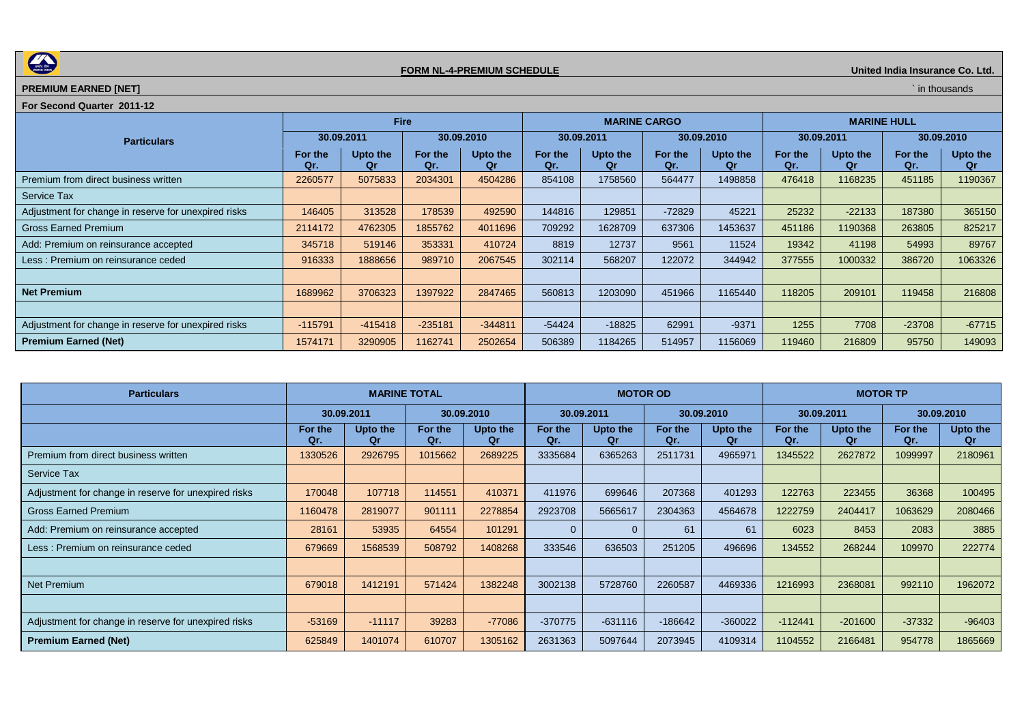

## **FORM NL-4-PREMIUM SCHEDULE The Co. Ltd.**  *CORM NL-4-PREMIUM SCHEDULE*

## **PREMIUM EARNED [NET]** *NET* **In thousands**

## **For Second Quarter 2011-12**

|                                                      | <b>Fire</b>    |                |                |                |                | <b>MARINE CARGO</b> |                |                | <b>MARINE HULL</b> |                |                |                |  |
|------------------------------------------------------|----------------|----------------|----------------|----------------|----------------|---------------------|----------------|----------------|--------------------|----------------|----------------|----------------|--|
| <b>Particulars</b>                                   | 30.09.2011     |                |                | 30.09.2010     |                | 30.09.2011          |                | 30.09.2010     | 30.09.2011         |                | 30.09.2010     |                |  |
|                                                      | For the<br>Qr. | Upto the<br>Or | For the<br>Qr. | Upto the<br>Qr | For the<br>Qr. | Upto the<br>Оr      | For the<br>Qr. | Upto the<br>Qr | For the<br>Qr.     | Upto the<br>Qr | For the<br>Qr. | Upto the<br>Qr |  |
| Premium from direct business written                 | 2260577        | 5075833        | 2034301        | 4504286        | 854108         | 1758560             | 564477         | 1498858        | 476418             | 1168235        | 451185         | 1190367        |  |
| Service Tax                                          |                |                |                |                |                |                     |                |                |                    |                |                |                |  |
| Adjustment for change in reserve for unexpired risks | 146405         | 313528         | 178539         | 492590         | 144816         | 129851              | $-72829$       | 45221          | 25232              | $-22133$       | 187380         | 365150         |  |
| <b>Gross Earned Premium</b>                          | 2114172        | 4762305        | 1855762        | 4011696        | 709292         | 1628709             | 637306         | 1453637        | 451186             | 1190368        | 263805         | 825217         |  |
| Add: Premium on reinsurance accepted                 | 345718         | 519146         | 353331         | 410724         | 8819           | 12737               | 9561           | 11524          | 19342              | 41198          | 54993          | 89767          |  |
| Less: Premium on reinsurance ceded                   | 916333         | 1888656        | 989710         | 2067545        | 302114         | 568207              | 122072         | 344942         | 377555             | 1000332        | 386720         | 1063326        |  |
|                                                      |                |                |                |                |                |                     |                |                |                    |                |                |                |  |
| <b>Net Premium</b>                                   | 1689962        | 3706323        | 1397922        | 2847465        | 560813         | 1203090             | 451966         | 1165440        | 118205             | 209101         | 119458         | 216808         |  |
|                                                      |                |                |                |                |                |                     |                |                |                    |                |                |                |  |
| Adjustment for change in reserve for unexpired risks | $-115791$      | $-415418$      | $-235181$      | $-344811$      | $-54424$       | $-18825$            | 62991          | $-9371$        | 1255               | 7708           | $-23708$       | $-67715$       |  |
| <b>Premium Earned (Net)</b>                          | 1574171        | 3290905        | 1162741        | 2502654        | 506389         | 1184265             | 514957         | 1156069        | 119460             | 216809         | 95750          | 149093         |  |

| <b>Particulars</b>                                   | <b>MARINE TOTAL</b> |                |                |                | <b>MOTOR OD</b> |                |                |                | <b>MOTOR TP</b> |                       |                |                       |
|------------------------------------------------------|---------------------|----------------|----------------|----------------|-----------------|----------------|----------------|----------------|-----------------|-----------------------|----------------|-----------------------|
|                                                      | 30.09.2011          |                | 30.09.2010     |                | 30.09.2011      |                | 30.09.2010     |                | 30.09.2011      |                       | 30.09.2010     |                       |
|                                                      | For the<br>Qr.      | Upto the<br>Or | For the<br>Qr. | Upto the<br>Qr | For the<br>Qr.  | Upto the<br>Оr | For the<br>Qr. | Upto the<br>Οr | For the<br>Qr.  | <b>Upto the</b><br>Qr | For the<br>Qr. | Upto the<br><b>Qr</b> |
| Premium from direct business written                 | 1330526             | 2926795        | 1015662        | 2689225        | 3335684         | 6365263        | 2511731        | 4965971        | 1345522         | 2627872               | 1099997        | 2180961               |
| <b>Service Tax</b>                                   |                     |                |                |                |                 |                |                |                |                 |                       |                |                       |
| Adjustment for change in reserve for unexpired risks | 170048              | 107718         | 114551         | 410371         | 411976          | 699646         | 207368         | 401293         | 122763          | 223455                | 36368          | 100495                |
| <b>Gross Earned Premium</b>                          | 1160478             | 2819077        | 901111         | 2278854        | 2923708         | 5665617        | 2304363        | 4564678        | 1222759         | 2404417               | 1063629        | 2080466               |
| Add: Premium on reinsurance accepted                 | 28161               | 53935          | 64554          | 101291         | 0               |                | 61             | 61             | 6023            | 8453                  | 2083           | 3885                  |
| Less: Premium on reinsurance ceded                   | 679669              | 1568539        | 508792         | 1408268        | 333546          | 636503         | 251205         | 496696         | 134552          | 268244                | 109970         | 222774                |
|                                                      |                     |                |                |                |                 |                |                |                |                 |                       |                |                       |
| <b>Net Premium</b>                                   | 679018              | 1412191        | 571424         | 1382248        | 3002138         | 5728760        | 2260587        | 4469336        | 1216993         | 2368081               | 992110         | 1962072               |
|                                                      |                     |                |                |                |                 |                |                |                |                 |                       |                |                       |
| Adjustment for change in reserve for unexpired risks | $-53169$            | $-11117$       | 39283          | $-77086$       | $-370775$       | $-631116$      | $-186642$      | $-360022$      | $-112441$       | $-201600$             | $-37332$       | $-96403$              |
| <b>Premium Earned (Net)</b>                          | 625849              | 1401074        | 610707         | 1305162        | 2631363         | 5097644        | 2073945        | 4109314        | 1104552         | 2166481               | 954778         | 1865669               |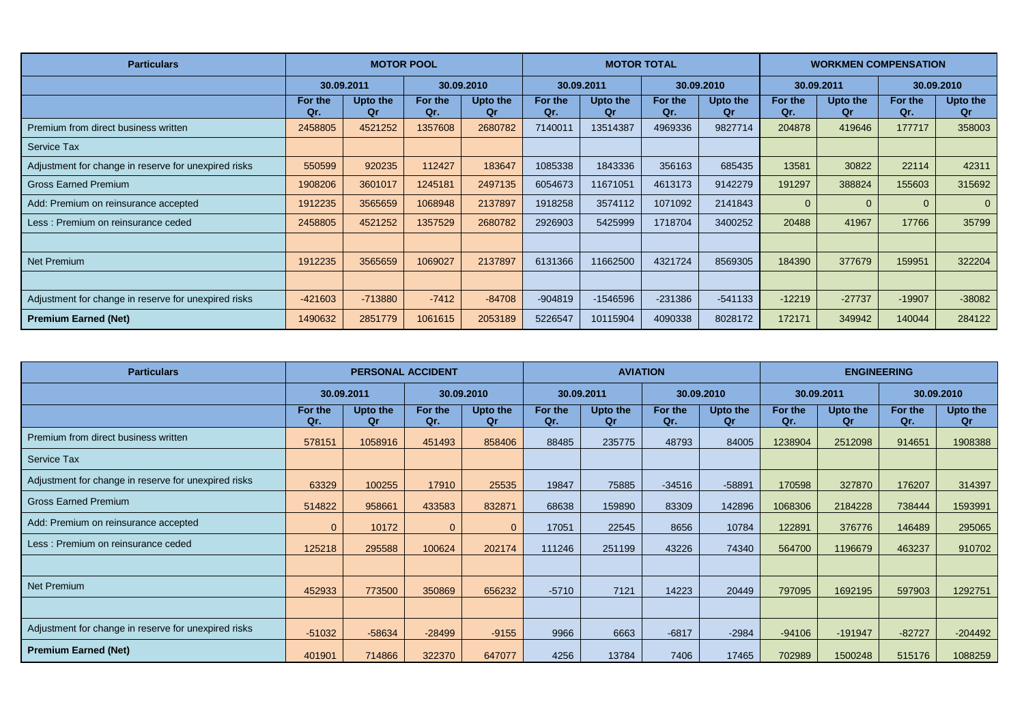| <b>Particulars</b>                                   | <b>MOTOR POOL</b> |                |                |                |                | <b>MOTOR TOTAL</b> |                |                | <b>WORKMEN COMPENSATION</b> |                |                |                |
|------------------------------------------------------|-------------------|----------------|----------------|----------------|----------------|--------------------|----------------|----------------|-----------------------------|----------------|----------------|----------------|
|                                                      | 30.09.2011        |                | 30.09.2010     |                | 30.09.2011     |                    | 30.09.2010     |                | 30.09.2011                  |                | 30.09.2010     |                |
|                                                      | For the<br>Qr.    | Upto the<br>Qr | For the<br>Qr. | Upto the<br>Qr | For the<br>Qr. | Upto the<br>Qr     | For the<br>Qr. | Upto the<br>Qr | For the<br>Qr.              | Upto the<br>Qr | For the<br>Qr. | Upto the<br>Qr |
| Premium from direct business written                 | 2458805           | 4521252        | 1357608        | 2680782        | 7140011        | 13514387           | 4969336        | 9827714        | 204878                      | 419646         | 177717         | 358003         |
| <b>Service Tax</b>                                   |                   |                |                |                |                |                    |                |                |                             |                |                |                |
| Adjustment for change in reserve for unexpired risks | 550599            | 920235         | 112427         | 183647         | 1085338        | 1843336            | 356163         | 685435         | 13581                       | 30822          | 22114          | 42311          |
| <b>Gross Earned Premium</b>                          | 1908206           | 3601017        | 1245181        | 2497135        | 6054673        | 11671051           | 4613173        | 9142279        | 191297                      | 388824         | 155603         | 315692         |
| Add: Premium on reinsurance accepted                 | 1912235           | 3565659        | 1068948        | 2137897        | 1918258        | 3574112            | 1071092        | 2141843        | $\mathbf 0$                 | $\Omega$       | $\mathbf{0}$   | $\Omega$       |
| Less: Premium on reinsurance ceded                   | 2458805           | 4521252        | 1357529        | 2680782        | 2926903        | 5425999            | 1718704        | 3400252        | 20488                       | 41967          | 17766          | 35799          |
|                                                      |                   |                |                |                |                |                    |                |                |                             |                |                |                |
| Net Premium                                          | 1912235           | 3565659        | 1069027        | 2137897        | 6131366        | 11662500           | 4321724        | 8569305        | 184390                      | 377679         | 159951         | 322204         |
|                                                      |                   |                |                |                |                |                    |                |                |                             |                |                |                |
| Adjustment for change in reserve for unexpired risks | $-421603$         | $-713880$      | $-7412$        | $-84708$       | $-904819$      | $-1546596$         | $-231386$      | $-541133$      | $-12219$                    | $-27737$       | $-19907$       | $-38082$       |
| <b>Premium Earned (Net)</b>                          | 1490632           | 2851779        | 1061615        | 2053189        | 5226547        | 10115904           | 4090338        | 8028172        | 172171                      | 349942         | 140044         | 284122         |

| <b>Particulars</b>                                   | <b>PERSONAL ACCIDENT</b> |                |                |                | <b>AVIATION</b> |                |                |                | <b>ENGINEERING</b> |                |                |                |
|------------------------------------------------------|--------------------------|----------------|----------------|----------------|-----------------|----------------|----------------|----------------|--------------------|----------------|----------------|----------------|
|                                                      |                          | 30.09.2011     |                | 30.09.2010     |                 | 30.09.2011     |                | 30.09.2010     | 30.09.2011         |                |                | 30.09.2010     |
|                                                      | For the<br>Qr.           | Upto the<br>Оr | For the<br>Qr. | Upto the<br>Qr | For the<br>Qr.  | Upto the<br>Οr | For the<br>Qr. | Upto the<br>Qr | For the<br>Qr.     | Upto the<br>Qr | For the<br>Qr. | Upto the<br>Qr |
| Premium from direct business written                 | 578151                   | 1058916        | 451493         | 858406         | 88485           | 235775         | 48793          | 84005          | 1238904            | 2512098        | 914651         | 1908388        |
| <b>Service Tax</b>                                   |                          |                |                |                |                 |                |                |                |                    |                |                |                |
| Adjustment for change in reserve for unexpired risks | 63329                    | 100255         | 17910          | 25535          | 19847           | 75885          | $-34516$       | $-58891$       | 170598             | 327870         | 176207         | 314397         |
| <b>Gross Earned Premium</b>                          | 514822                   | 958661         | 433583         | 832871         | 68638           | 159890         | 83309          | 142896         | 1068306            | 2184228        | 738444         | 1593991        |
| Add: Premium on reinsurance accepted                 |                          | 10172          | $\Omega$       | $\Omega$       | 17051           | 22545          | 8656           | 10784          | 122891             | 376776         | 146489         | 295065         |
| Less: Premium on reinsurance ceded                   | 125218                   | 295588         | 100624         | 202174         | 111246          | 251199         | 43226          | 74340          | 564700             | 1196679        | 463237         | 910702         |
|                                                      |                          |                |                |                |                 |                |                |                |                    |                |                |                |
| Net Premium                                          | 452933                   | 773500         | 350869         | 656232         | $-5710$         | 7121           | 14223          | 20449          | 797095             | 1692195        | 597903         | 1292751        |
|                                                      |                          |                |                |                |                 |                |                |                |                    |                |                |                |
| Adjustment for change in reserve for unexpired risks | $-51032$                 | $-58634$       | $-28499$       | $-9155$        | 9966            | 6663           | $-6817$        | $-2984$        | $-94106$           | $-191947$      | $-82727$       | $-204492$      |
| <b>Premium Earned (Net)</b>                          | 401901                   | 714866         | 322370         | 647077         | 4256            | 13784          | 7406           | 17465          | 702989             | 1500248        | 515176         | 1088259        |